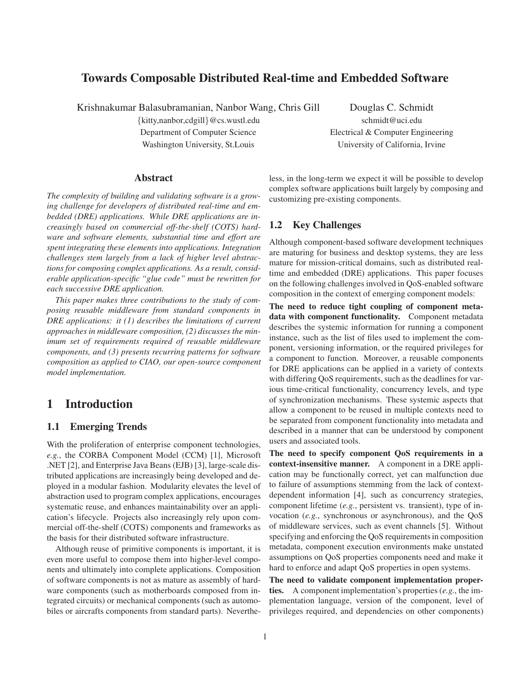## **Towards Composable Distributed Real-time and Embedded Software**

Krishnakumar Balasubramanian, Nanbor Wang, Chris Gill Douglas C. Schmidt

{kitty,nanbor,cdgill}@cs.wustl.edu schmidt@uci.edu Washington University, St.Louis University of California, Irvine

Department of Computer Science Electrical & Computer Engineering

#### **Abstract**

*The complexity of building and validating software is a growing challenge for developers of distributed real-time and embedded (DRE) applications. While DRE applications are increasingly based on commercial off-the-shelf (COTS) hardware and software elements, substantial time and effort are spent integrating these elements into applications. Integration challenges stem largely from a lack of higher level abstractions for composing complex applications. As a result, considerable application-specific "glue code" must be rewritten for each successive DRE application.*

*This paper makes three contributions to the study of composing reusable middleware from standard components in DRE applications: it (1) describes the limitations of current approaches in middleware composition, (2) discusses the minimum set of requirements required of reusable middleware components, and (3) presents recurring patterns for software composition as applied to CIAO, our open-source component model implementation.*

# **1 Introduction**

#### **1.1 Emerging Trends**

With the proliferation of enterprise component technologies, *e.g.*, the CORBA Component Model (CCM) [1], Microsoft .NET [2], and Enterprise Java Beans (EJB) [3], large-scale distributed applications are increasingly being developed and deployed in a modular fashion. Modularity elevates the level of abstraction used to program complex applications, encourages systematic reuse, and enhances maintainability over an application's lifecycle. Projects also increasingly rely upon commercial off-the-shelf (COTS) components and frameworks as the basis for their distributed software infrastructure.

Although reuse of primitive components is important, it is even more useful to compose them into higher-level components and ultimately into complete applications. Composition of software components is not as mature as assembly of hardware components (such as motherboards composed from integrated circuits) or mechanical components (such as automobiles or aircrafts components from standard parts). Nevertheless, in the long-term we expect it will be possible to develop complex software applications built largely by composing and customizing pre-existing components.

#### **1.2 Key Challenges**

Although component-based software development techniques are maturing for business and desktop systems, they are less mature for mission-critical domains, such as distributed realtime and embedded (DRE) applications. This paper focuses on the following challenges involved in QoS-enabled software composition in the context of emerging component models:

**The need to reduce tight coupling of component metadata with component functionality.** Component metadata describes the systemic information for running a component instance, such as the list of files used to implement the component, versioning information, or the required privileges for a component to function. Moreover, a reusable components for DRE applications can be applied in a variety of contexts with differing QoS requirements, such as the deadlines for various time-critical functionality, concurrency levels, and type of synchronization mechanisms. These systemic aspects that allow a component to be reused in multiple contexts need to be separated from component functionality into metadata and described in a manner that can be understood by component users and associated tools.

**The need to specify component QoS requirements in a context-insensitive manner.** A component in a DRE application may be functionally correct, yet can malfunction due to failure of assumptions stemming from the lack of contextdependent information [4], such as concurrency strategies, component lifetime (*e.g.*, persistent vs. transient), type of invocation (*e.g.*, synchronous or asynchronous), and the QoS of middleware services, such as event channels [5]. Without specifying and enforcing the QoS requirements in composition metadata, component execution environments make unstated assumptions on QoS properties components need and make it hard to enforce and adapt QoS properties in open systems.

**The need to validate component implementation properties.** A component implementation's properties (*e.g.*, the implementation language, version of the component, level of privileges required, and dependencies on other components)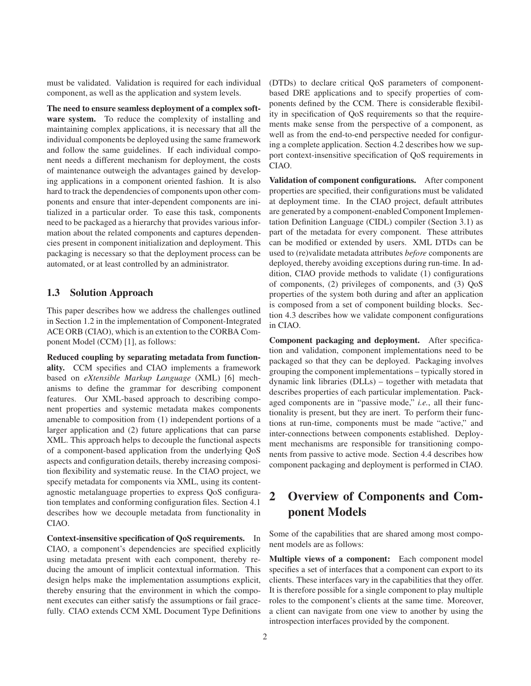must be validated. Validation is required for each individual component, as well as the application and system levels.

**The need to ensure seamless deployment of a complex software system.** To reduce the complexity of installing and maintaining complex applications, it is necessary that all the individual components be deployed using the same framework and follow the same guidelines. If each individual component needs a different mechanism for deployment, the costs of maintenance outweigh the advantages gained by developing applications in a component oriented fashion. It is also hard to track the dependencies of components upon other components and ensure that inter-dependent components are initialized in a particular order. To ease this task, components need to be packaged as a hierarchy that provides various information about the related components and captures dependencies present in component initialization and deployment. This packaging is necessary so that the deployment process can be automated, or at least controlled by an administrator.

### **1.3 Solution Approach**

This paper describes how we address the challenges outlined in Section 1.2 in the implementation of Component-Integrated ACE ORB (CIAO), which is an extention to the CORBA Component Model (CCM) [1], as follows:

**Reduced coupling by separating metadata from functionality.** CCM specifies and CIAO implements a framework based on *eXtensible Markup Language* (XML) [6] mechanisms to define the grammar for describing component features. Our XML-based approach to describing component properties and systemic metadata makes components amenable to composition from (1) independent portions of a larger application and (2) future applications that can parse XML. This approach helps to decouple the functional aspects of a component-based application from the underlying QoS aspects and configuration details, thereby increasing composition flexibility and systematic reuse. In the CIAO project, we specify metadata for components via XML, using its contentagnostic metalanguage properties to express QoS configuration templates and conforming configuration files. Section 4.1 describes how we decouple metadata from functionality in CIAO.

**Context-insensitive specification of QoS requirements.** In CIAO, a component's dependencies are specified explicitly using metadata present with each component, thereby reducing the amount of implicit contextual information. This design helps make the implementation assumptions explicit, thereby ensuring that the environment in which the component executes can either satisfy the assumptions or fail gracefully. CIAO extends CCM XML Document Type Definitions (DTDs) to declare critical QoS parameters of componentbased DRE applications and to specify properties of components defined by the CCM. There is considerable flexibility in specification of QoS requirements so that the requirements make sense from the perspective of a component, as well as from the end-to-end perspective needed for configuring a complete application. Section 4.2 describes how we support context-insensitive specification of QoS requirements in CIAO.

**Validation of component configurations.** After component properties are specified, their configurations must be validated at deployment time. In the CIAO project, default attributes are generated by a component-enabled Component Implementation Definition Language (CIDL) compiler (Section 3.1) as part of the metadata for every component. These attributes can be modified or extended by users. XML DTDs can be used to (re)validate metadata attributes *before* components are deployed, thereby avoiding exceptions during run-time. In addition, CIAO provide methods to validate (1) configurations of components, (2) privileges of components, and (3) QoS properties of the system both during and after an application is composed from a set of component building blocks. Section 4.3 describes how we validate component configurations in CIAO.

**Component packaging and deployment.** After specification and validation, component implementations need to be packaged so that they can be deployed. Packaging involves grouping the component implementations – typically stored in dynamic link libraries (DLLs) – together with metadata that describes properties of each particular implementation. Packaged components are in "passive mode," *i.e.*, all their functionality is present, but they are inert. To perform their functions at run-time, components must be made "active," and inter-connections between components established. Deployment mechanisms are responsible for transitioning components from passive to active mode. Section 4.4 describes how component packaging and deployment is performed in CIAO.

# **2 Overview of Components and Component Models**

Some of the capabilities that are shared among most component models are as follows:

**Multiple views of a component:** Each component model specifies a set of interfaces that a component can export to its clients. These interfaces vary in the capabilities that they offer. It is therefore possible for a single component to play multiple roles to the component's clients at the same time. Moreover, a client can navigate from one view to another by using the introspection interfaces provided by the component.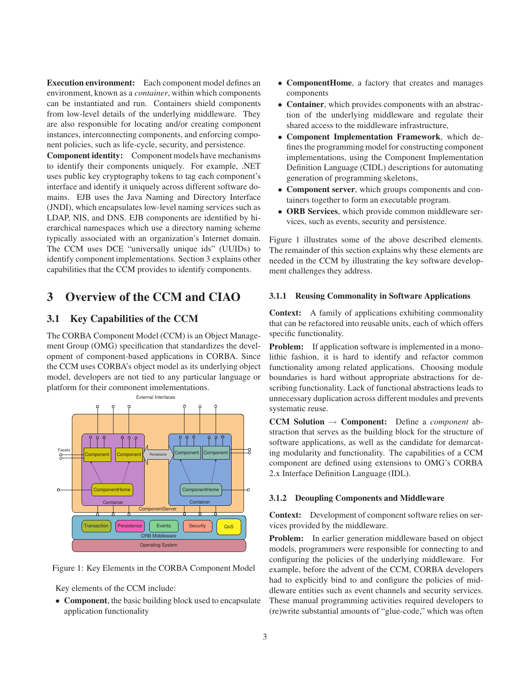**Execution environment:** Each component model defines an environment, known as a *container*, within which components can be instantiated and run. Containers shield components from low-level details of the underlying middleware. They are also responsible for locating and/or creating component instances, interconnecting components, and enforcing component policies, such as life-cycle, security, and persistence.

**Component identity:** Component models have mechanisms to identify their components uniquely. For example, .NET uses public key cryptography tokens to tag each component's interface and identify it uniquely across different software domains. EJB uses the Java Naming and Directory Interface (JNDI), which encapsulates low-level naming services such as LDAP, NIS, and DNS. EJB components are identified by hierarchical namespaces which use a directory naming scheme typically associated with an organization's Internet domain. The CCM uses DCE "universally unique ids" (UUIDs) to identify component implementations. Section 3 explains other capabilities that the CCM provides to identify components.

# **3 Overview of the CCM and CIAO**

## **3.1 Key Capabilities of the CCM**

The CORBA Component Model (CCM) is an Object Management Group (OMG) specification that standardizes the development of component-based applications in CORBA. Since the CCM uses CORBA's object model as its underlying object model, developers are not tied to any particular language or platform for their component implementations.



Figure 1: Key Elements in the CORBA Component Model

Key elements of the CCM include:

• **Component**, the basic building block used to encapsulate application functionality

- **ComponentHome**, a factory that creates and manages components
- **Container**, which provides components with an abstraction of the underlying middleware and regulate their shared access to the middleware infrastructure,
- **Component Implementation Framework**, which defines the programming model for constructing component implementations, using the Component Implementation Definition Language (CIDL) descriptions for automating generation of programming skeletons,
- **Component server**, which groups components and containers together to form an executable program.
- **ORB Services**, which provide common middleware services, such as events, security and persistence.

Figure 1 illustrates some of the above described elements. The remainder of this section explains why these elements are needed in the CCM by illustrating the key software development challenges they address.

#### **3.1.1 Reusing Commonality in Software Applications**

**Context:** A family of applications exhibiting commonality that can be refactored into reusable units, each of which offers specific functionality.

**Problem:** If application software is implemented in a monolithic fashion, it is hard to identify and refactor common functionality among related applications. Choosing module boundaries is hard without appropriate abstractions for describing functionality. Lack of functional abstractions leads to unnecessary duplication across different modules and prevents systematic reuse.

**CCM Solution** → **Component:** Define a *component* abstraction that serves as the building block for the structure of software applications, as well as the candidate for demarcating modularity and functionality. The capabilities of a CCM component are defined using extensions to OMG's CORBA 2.x Interface Definition Language (IDL).

#### **3.1.2 Deoupling Components and Middleware**

**Context:** Development of component software relies on services provided by the middleware.

**Problem:** In earlier generation middleware based on object models, programmers were responsible for connecting to and configuring the policies of the underlying middleware. For example, before the advent of the CCM, CORBA developers had to explicitly bind to and configure the policies of middleware entities such as event channels and security services. These manual programming activities required developers to (re)write substantial amounts of "glue-code," which was often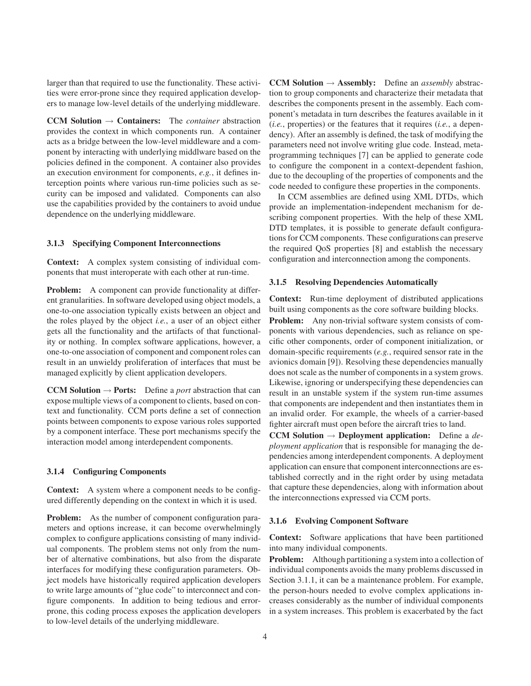larger than that required to use the functionality. These activities were error-prone since they required application developers to manage low-level details of the underlying middleware.

**CCM Solution** → **Containers:** The *container* abstraction provides the context in which components run. A container acts as a bridge between the low-level middleware and a component by interacting with underlying middlware based on the policies defined in the component. A container also provides an execution environment for components, *e.g.*, it defines interception points where various run-time policies such as security can be imposed and validated. Components can also use the capabilities provided by the containers to avoid undue dependence on the underlying middleware.

#### **3.1.3 Specifying Component Interconnections**

**Context:** A complex system consisting of individual components that must interoperate with each other at run-time.

**Problem:** A component can provide functionality at different granularities. In software developed using object models, a one-to-one association typically exists between an object and the roles played by the object *i.e.*, a user of an object either gets all the functionality and the artifacts of that functionality or nothing. In complex software applications, however, a one-to-one association of component and component roles can result in an unwieldy proliferation of interfaces that must be managed explicitly by client application developers.

**CCM Solution**  $\rightarrow$  **Ports:** Define a *port* abstraction that can expose multiple views of a component to clients, based on context and functionality. CCM ports define a set of connection points between components to expose various roles supported by a component interface. These port mechanisms specify the interaction model among interdependent components.

#### **3.1.4 Configuring Components**

**Context:** A system where a component needs to be configured differently depending on the context in which it is used.

**Problem:** As the number of component configuration parameters and options increase, it can become overwhelmingly complex to configure applications consisting of many individual components. The problem stems not only from the number of alternative combinations, but also from the disparate interfaces for modifying these configuration parameters. Object models have historically required application developers to write large amounts of "glue code" to interconnect and configure components. In addition to being tedious and errorprone, this coding process exposes the application developers to low-level details of the underlying middleware.

**CCM Solution**  $\rightarrow$  **Assembly:** Define an *assembly* abstraction to group components and characterize their metadata that describes the components present in the assembly. Each component's metadata in turn describes the features available in it (*i.e.*, properties) or the features that it requires (*i.e.*, a dependency). After an assembly is defined, the task of modifying the parameters need not involve writing glue code. Instead, metaprogramming techniques [7] can be applied to generate code to configure the component in a context-dependent fashion, due to the decoupling of the properties of components and the code needed to configure these properties in the components.

In CCM assemblies are defined using XML DTDs, which provide an implementation-independent mechanism for describing component properties. With the help of these XML DTD templates, it is possible to generate default configurations for CCM components. These configurations can preserve the required QoS properties [8] and establish the necessary configuration and interconnection among the components.

#### **3.1.5 Resolving Dependencies Automatically**

**Context:** Run-time deployment of distributed applications built using components as the core software building blocks.

**Problem:** Any non-trivial software system consists of components with various dependencies, such as reliance on specific other components, order of component initialization, or domain-specific requirements (*e.g.*, required sensor rate in the avionics domain [9]). Resolving these dependencies manually does not scale as the number of components in a system grows. Likewise, ignoring or underspecifying these dependencies can result in an unstable system if the system run-time assumes that components are independent and then instantiates them in an invalid order. For example, the wheels of a carrier-based fighter aircraft must open before the aircraft tries to land.

**CCM Solution** → **Deployment application:** Define a *deployment application* that is responsible for managing the dependencies among interdependent components. A deployment application can ensure that component interconnections are established correctly and in the right order by using metadata that capture these dependencies, along with information about the interconnections expressed via CCM ports.

#### **3.1.6 Evolving Component Software**

**Context:** Software applications that have been partitioned into many individual components.

**Problem:** Although partitioning a system into a collection of individual components avoids the many problems discussed in Section 3.1.1, it can be a maintenance problem. For example, the person-hours needed to evolve complex applications increases considerably as the number of individual components in a system increases. This problem is exacerbated by the fact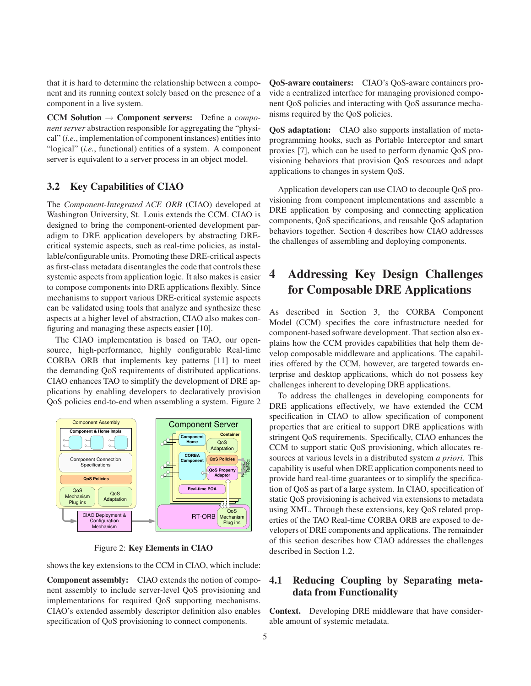that it is hard to determine the relationship between a component and its running context solely based on the presence of a component in a live system.

**CCM Solution** → **Component servers:** Define a *component server* abstraction responsible for aggregating the "physical" (*i.e.*, implementation of component instances) entities into "logical" (*i.e.*, functional) entities of a system. A component server is equivalent to a server process in an object model.

### **3.2 Key Capabilities of CIAO**

The *Component-Integrated ACE ORB* (CIAO) developed at Washington University, St. Louis extends the CCM. CIAO is designed to bring the component-oriented development paradigm to DRE application developers by abstracting DREcritical systemic aspects, such as real-time policies, as installable/configurable units. Promoting these DRE-critical aspects as first-class metadata disentangles the code that controls these systemic aspects from application logic. It also makes is easier to compose components into DRE applications flexibly. Since mechanisms to support various DRE-critical systemic aspects can be validated using tools that analyze and synthesize these aspects at a higher level of abstraction, CIAO also makes configuring and managing these aspects easier [10].

The CIAO implementation is based on TAO, our opensource, high-performance, highly configurable Real-time CORBA ORB that implements key patterns [11] to meet the demanding QoS requirements of distributed applications. CIAO enhances TAO to simplify the development of DRE applications by enabling developers to declaratively provision QoS policies end-to-end when assembling a system. Figure 2



Figure 2: **Key Elements in CIAO**

shows the key extensions to the CCM in CIAO, which include:

**Component assembly:** CIAO extends the notion of component assembly to include server-level QoS provisioning and implementations for required QoS supporting mechanisms. CIAO's extended assembly descriptor definition also enables specification of QoS provisioning to connect components.

**QoS-aware containers:** CIAO's QoS-aware containers provide a centralized interface for managing provisioned component QoS policies and interacting with QoS assurance mechanisms required by the QoS policies.

**QoS adaptation:** CIAO also supports installation of metaprogramming hooks, such as Portable Interceptor and smart proxies [7], which can be used to perform dynamic QoS provisioning behaviors that provision QoS resources and adapt applications to changes in system QoS.

Application developers can use CIAO to decouple QoS provisioning from component implementations and assemble a DRE application by composing and connecting application components, QoS specifications, and reusable QoS adaptation behaviors together. Section 4 describes how CIAO addresses the challenges of assembling and deploying components.

# **4 Addressing Key Design Challenges for Composable DRE Applications**

As described in Section 3, the CORBA Component Model (CCM) specifies the core infrastructure needed for component-based software development. That section also explains how the CCM provides capabilities that help them develop composable middleware and applications. The capabilities offered by the CCM, however, are targeted towards enterprise and desktop applications, which do not possess key challenges inherent to developing DRE applications.

To address the challenges in developing components for DRE applications effectively, we have extended the CCM specification in CIAO to allow specification of component properties that are critical to support DRE applications with stringent QoS requirements. Specifically, CIAO enhances the CCM to support static QoS provisioning, which allocates resources at various levels in a distributed system *a priori*. This capability is useful when DRE application components need to provide hard real-time guarantees or to simplify the specification of QoS as part of a large system. In CIAO, specification of static QoS provisioning is acheived via extensions to metadata using XML. Through these extensions, key QoS related properties of the TAO Real-time CORBA ORB are exposed to developers of DRE components and applications. The remainder of this section describes how CIAO addresses the challenges described in Section 1.2.

## **4.1 Reducing Coupling by Separating metadata from Functionality**

**Context.** Developing DRE middleware that have considerable amount of systemic metadata.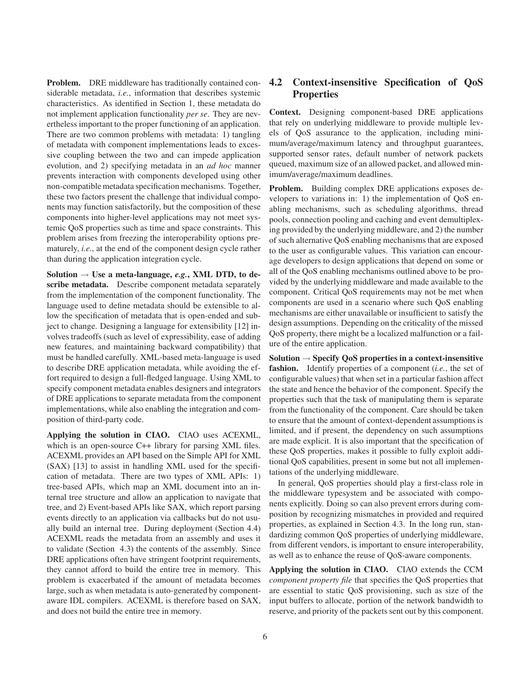**Problem.** DRE middleware has traditionally contained considerable metadata, *i.e.*, information that describes systemic characteristics. As identified in Section 1, these metadata do not implement application functionality *per se*. They are nevertheless important to the proper functioning of an application. There are two common problems with metadata: 1) tangling of metadata with component implementations leads to excessive coupling between the two and can impede application evolution, and 2) specifying metadata in an *ad hoc* manner prevents interaction with components developed using other non-compatible metadata specification mechanisms. Together, these two factors present the challenge that individual components may function satisfactorily, but the composition of these components into higher-level applications may not meet systemic QoS properties such as time and space constraints. This problem arises from freezing the interoperability options prematurely, *i.e.*, at the end of the component design cycle rather than during the application integration cycle.

**Solution** → **Use a meta-language,** *e.g.***, XML DTD, to describe metadata.** Describe component metadata separately from the implementation of the component functionality. The language used to define metadata should be extensible to allow the specification of metadata that is open-ended and subject to change. Designing a language for extensibility [12] involves tradeoffs (such as level of expressibility, ease of adding new features, and maintaining backward compatibility) that must be handled carefully. XML-based meta-language is used to describe DRE application metadata, while avoiding the effort required to design a full-fledged language. Using XML to specify component metadata enables designers and integrators of DRE applications to separate metadata from the component implementations, while also enabling the integration and composition of third-party code.

**Applying the solution in CIAO.** CIAO uses ACEXML, which is an open-source C++ library for parsing XML files. ACEXML provides an API based on the Simple API for XML (SAX) [13] to assist in handling XML used for the specification of metadata. There are two types of XML APIs: 1) tree-based APIs, which map an XML document into an internal tree structure and allow an application to navigate that tree, and 2) Event-based APIs like SAX, which report parsing events directly to an application via callbacks but do not usually build an internal tree. During deployment (Section 4.4) ACEXML reads the metadata from an assembly and uses it to validate (Section 4.3) the contents of the assembly. Since DRE applications often have stringent footprint requirements, they cannot afford to build the entire tree in memory. This problem is exacerbated if the amount of metadata becomes large, such as when metadata is auto-generated by componentaware IDL compilers. ACEXML is therefore based on SAX, and does not build the entire tree in memory.

## **4.2 Context-insensitive Specification of QoS Properties**

**Context.** Designing component-based DRE applications that rely on underlying middleware to provide multiple levels of QoS assurance to the application, including minimum/average/maximum latency and throughput guarantees, supported sensor rates, default number of network packets queued, maximum size of an allowed packet, and allowed minimum/average/maximum deadlines.

**Problem.** Building complex DRE applications exposes developers to variations in: 1) the implementation of QoS enabling mechanisms, such as scheduling algorithms, thread pools, connection pooling and caching and event demultiplexing provided by the underlying middleware, and 2) the number of such alternative QoS enabling mechanisms that are exposed to the user as configurable values. This variation can encourage developers to design applications that depend on some or all of the QoS enabling mechanisms outlined above to be provided by the underlying middleware and made available to the component. Critical QoS requirements may not be met when components are used in a scenario where such QoS enabling mechanisms are either unavailable or insufficient to satisfy the design assumptions. Depending on the criticality of the missed QoS property, there might be a localized malfunction or a failure of the entire application.

**Solution** → **Specify QoS properties in a context-insensitive fashion.** Identify properties of a component (*i.e.*, the set of configurable values) that when set in a particular fashion affect the state and hence the behavior of the component. Specify the properties such that the task of manipulating them is separate from the functionality of the component. Care should be taken to ensure that the amount of context-dependent assumptions is limited, and if present, the dependency on such assumptions are made explicit. It is also important that the specification of these QoS properties, makes it possible to fully exploit additional QoS capabilities, present in some but not all implementations of the underlying middleware.

In general, QoS properties should play a first-class role in the middleware typesystem and be associated with components explicitly. Doing so can also prevent errors during composition by recognizing mismatches in provided and required properties, as explained in Section 4.3. In the long run, standardizing common QoS properties of underlying middleware, from different vendors, is important to ensure interoperability, as well as to enhance the reuse of QoS-aware components.

**Applying the solution in CIAO.** CIAO extends the CCM *component property file* that specifies the QoS properties that are essential to static QoS provisioning, such as size of the input buffers to allocate, portion of the network bandwidth to reserve, and priority of the packets sent out by this component.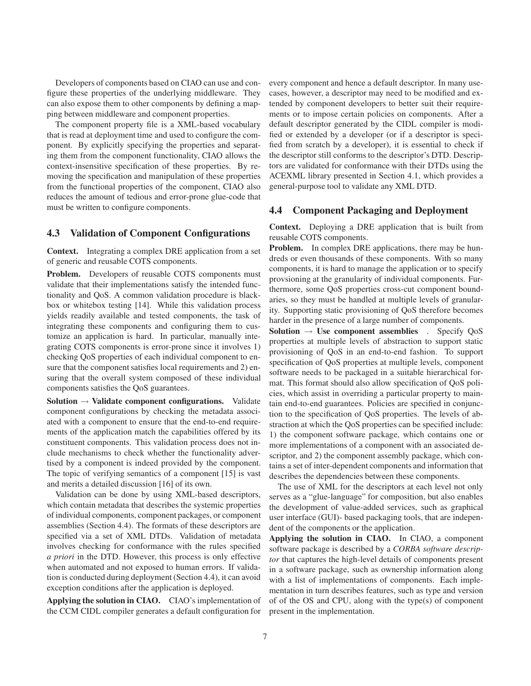Developers of components based on CIAO can use and configure these properties of the underlying middleware. They can also expose them to other components by defining a mapping between middleware and component properties.

The component property file is a XML-based vocabulary that is read at deployment time and used to configure the component. By explicitly specifying the properties and separating them from the component functionality, CIAO allows the context-insensitive specification of these properties. By removing the specification and manipulation of these properties from the functional properties of the component, CIAO also reduces the amount of tedious and error-prone glue-code that must be written to configure components.

### **4.3 Validation of Component Configurations**

**Context.** Integrating a complex DRE application from a set of generic and reusable COTS components.

**Problem.** Developers of reusable COTS components must validate that their implementations satisfy the intended functionality and QoS. A common validation procedure is blackbox or whitebox testing [14]. While this validation process yields readily available and tested components, the task of integrating these components and configuring them to customize an application is hard. In particular, manually integrating COTS components is error-prone since it involves 1) checking QoS properties of each individual component to ensure that the component satisfies local requirements and 2) ensuring that the overall system composed of these individual components satisfies the QoS guarantees.

**Solution** → **Validate component configurations.** Validate component configurations by checking the metadata associated with a component to ensure that the end-to-end requirements of the application match the capabilities offered by its constituent components. This validation process does not include mechanisms to check whether the functionality advertised by a component is indeed provided by the component. The topic of verifying semantics of a component [15] is vast and merits a detailed discussion [16] of its own.

Validation can be done by using XML-based descriptors, which contain metadata that describes the systemic properties of individual components, component packages, or component assemblies (Section 4.4). The formats of these descriptors are specified via a set of XML DTDs. Validation of metadata involves checking for conformance with the rules specified *a priori* in the DTD. However, this process is only effective when automated and not exposed to human errors. If validation is conducted during deployment (Section 4.4), it can avoid exception conditions after the application is deployed.

**Applying the solution in CIAO.** CIAO's implementation of the CCM CIDL compiler generates a default configuration for every component and hence a default descriptor. In many usecases, however, a descriptor may need to be modified and extended by component developers to better suit their requirements or to impose certain policies on components. After a default descriptor generated by the CIDL compiler is modified or extended by a developer (or if a descriptor is specified from scratch by a developer), it is essential to check if the descriptor still conforms to the descriptor's DTD. Descriptors are validated for conformance with their DTDs using the ACEXML library presented in Section 4.1, which provides a general-purpose tool to validate any XML DTD.

#### **4.4 Component Packaging and Deployment**

**Context.** Deploying a DRE application that is built from reusable COTS components.

**Problem.** In complex DRE applications, there may be hundreds or even thousands of these components. With so many components, it is hard to manage the application or to specify provsioning at the granularity of individual components. Furthermore, some QoS properties cross-cut component boundaries, so they must be handled at multiple levels of granularity. Supporting static provisioning of QoS therefore becomes harder in the presence of a large number of components.

**Solution** → **Use component assemblies** . Specify QoS properties at multiple levels of abstraction to support static provisioning of QoS in an end-to-end fashion. To support specification of QoS properties at multiple levels, component software needs to be packaged in a suitable hierarchical format. This format should also allow specification of QoS policies, which assist in overriding a particular property to maintain end-to-end guarantees. Policies are specified in conjunction to the specification of QoS properties. The levels of abstraction at which the QoS properties can be specified include: 1) the component software package, which contains one or more implementations of a component with an associated descriptor, and 2) the component assembly package, which contains a set of inter-dependent components and information that describes the dependencies between these components.

The use of XML for the descriptors at each level not only serves as a "glue-language" for composition, but also enables the development of value-added services, such as graphical user interface (GUI)- based packaging tools, that are independent of the components or the application.

**Applying the solution in CIAO.** In CIAO, a component software package is described by a *CORBA software descriptor* that captures the high-level details of components present in a software package, such as ownership information along with a list of implementations of components. Each implementation in turn describes features, such as type and version of of the OS and CPU, along with the type(s) of component present in the implementation.